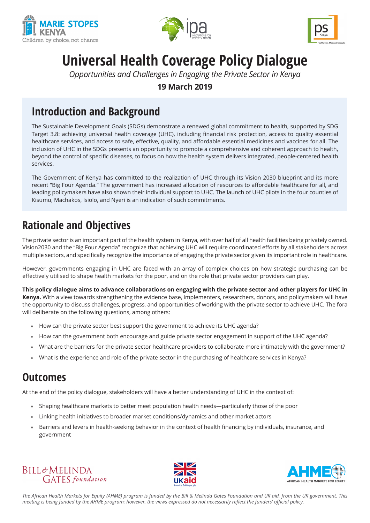





# **Universal Health Coverage Policy Dialogue**

*Opportunities and Challenges in Engaging the Private Sector in Kenya*

**19 March 2019**

#### **Introduction and Background**

The Sustainable Development Goals (SDGs) demonstrate a renewed global commitment to health, supported by SDG Target 3.8: achieving universal health coverage (UHC), including financial risk protection, access to quality essential healthcare services, and access to safe, effective, quality, and affordable essential medicines and vaccines for all. The inclusion of UHC in the SDGs presents an opportunity to promote a comprehensive and coherent approach to health, beyond the control of specific diseases, to focus on how the health system delivers integrated, people-centered health services.

The Government of Kenya has committed to the realization of UHC through its Vision 2030 blueprint and its more recent "Big Four Agenda." The government has increased allocation of resources to affordable healthcare for all, and leading policymakers have also shown their individual support to UHC. The launch of UHC pilots in the four counties of Kisumu, Machakos, Isiolo, and Nyeri is an indication of such commitments.

### **Rationale and Objectives**

The private sector is an important part of the health system in Kenya, with over half of all health facilities being privately owned. Vision2030 and the "Big Four Agenda" recognize that achieving UHC will require coordinated efforts by all stakeholders across multiple sectors, and specifically recognize the importance of engaging the private sector given its important role in healthcare.

However, governments engaging in UHC are faced with an array of complex choices on how strategic purchasing can be effectively utilised to shape health markets for the poor, and on the role that private sector providers can play.

**This policy dialogue aims to advance collaborations on engaging with the private sector and other players for UHC in Kenya.** With a view towards strengthening the evidence base, implementers, researchers, donors, and policymakers will have the opportunity to discuss challenges, progress, and opportunities of working with the private sector to achieve UHC. The fora will deliberate on the following questions, among others:

- » How can the private sector best support the government to achieve its UHC agenda?
- » How can the government both encourage and guide private sector engagement in support of the UHC agenda?
- » What are the barriers for the private sector healthcare providers to collaborate more intimately with the government?
- » What is the experience and role of the private sector in the purchasing of healthcare services in Kenya?

#### **Outcomes**

At the end of the policy dialogue, stakeholders will have a better understanding of UHC in the context of:

- » Shaping healthcare markets to better meet population health needs—particularly those of the poor
- » Linking health initiatives to broader market conditions/dynamics and other market actors
- » Barriers and levers in health-seeking behavior in the context of health financing by individuals, insurance, and government







*The African Health Markets for Equity (AHME) program is funded by the Bill & Melinda Gates Foundation and UK aid, from the UK government. This meeting is being funded by the AHME program; however, the views expressed do not necessarily reflect the funders' official policy.*